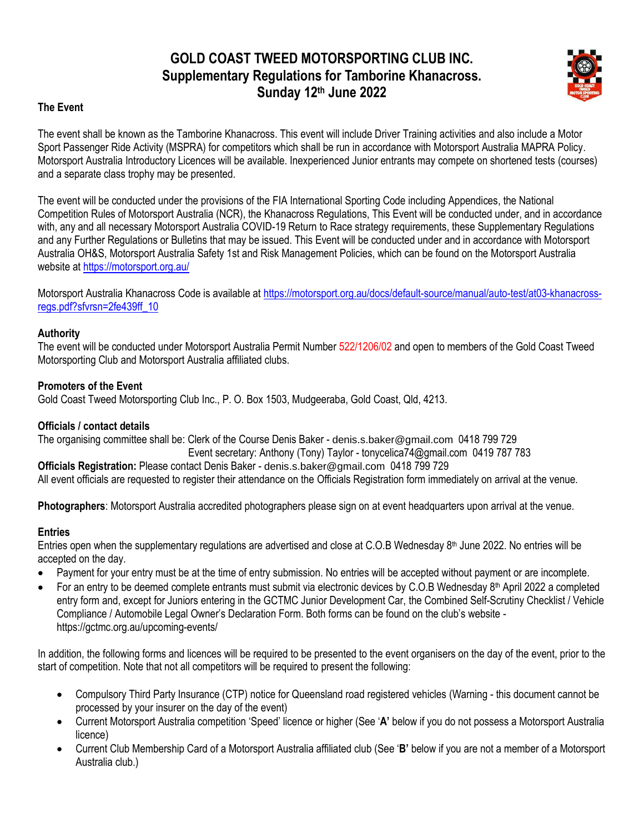# **GOLD COAST TWEED MOTORSPORTING CLUB INC. Supplementary Regulations for Tamborine Khanacross. Sunday 12th June 2022**



# **The Event**

The event shall be known as the Tamborine Khanacross. This event will include Driver Training activities and also include a Motor Sport Passenger Ride Activity (MSPRA) for competitors which shall be run in accordance with Motorsport Australia MAPRA Policy. Motorsport Australia Introductory Licences will be available. Inexperienced Junior entrants may compete on shortened tests (courses) and a separate class trophy may be presented.

The event will be conducted under the provisions of the FIA International Sporting Code including Appendices, the National Competition Rules of Motorsport Australia (NCR), the Khanacross Regulations, This Event will be conducted under, and in accordance with, any and all necessary Motorsport Australia COVID-19 Return to Race strategy requirements, these Supplementary Regulations and any Further Regulations or Bulletins that may be issued. This Event will be conducted under and in accordance with Motorsport Australia OH&S, Motorsport Australia Safety 1st and Risk Management Policies, which can be found on the Motorsport Australia website at <https://motorsport.org.au/>

Motorsport Australia Khanacross Code is available a[t https://motorsport.org.au/docs/default-source/manual/auto-test/at03-khanacross](https://motorsport.org.au/docs/default-source/manual/auto-test/at03-khanacross-regs.pdf?sfvrsn=2fe439ff_10)[regs.pdf?sfvrsn=2fe439ff\\_10](https://motorsport.org.au/docs/default-source/manual/auto-test/at03-khanacross-regs.pdf?sfvrsn=2fe439ff_10)

# **Authority**

The event will be conducted under Motorsport Australia Permit Number 522/1206/02 and open to members of the Gold Coast Tweed Motorsporting Club and Motorsport Australia affiliated clubs.

# **Promoters of the Event**

Gold Coast Tweed Motorsporting Club Inc., P. O. Box 1503, Mudgeeraba, Gold Coast, Qld, 4213.

# **Officials / contact details**

The organising committee shall be: Clerk of the Course Denis Baker - [denis.s.baker@gmail.com](mailto:denis.s.baker@gmail.com) 0418 799 729 Event secretary: Anthony (Tony) Taylor - [tonycelica74@gmail.com](mailto:tonycelica74@gmail.com) 0419 787 783 **Officials Registration:** Please contact Denis Baker - [denis.s.baker@gmail.com](mailto:denis.s.baker@gmail.com) 0418 799 729 All event officials are requested to register their attendance on the Officials Registration form immediately on arrival at the venue.

**Photographers**: Motorsport Australia accredited photographers please sign on at event headquarters upon arrival at the venue.

# **Entries**

Entries open when the supplementary regulations are advertised and close at C.O.B Wednesday 8<sup>th</sup> June 2022. No entries will be accepted on the day.

- Payment for your entry must be at the time of entry submission. No entries will be accepted without payment or are incomplete.
- For an entry to be deemed complete entrants must submit via electronic devices by C.O.B Wednesday 8<sup>th</sup> April 2022 a completed entry form and, except for Juniors entering in the GCTMC Junior Development Car, the Combined Self-Scrutiny Checklist / Vehicle Compliance / Automobile Legal Owner's Declaration Form. Both forms can be found on the club's website https://gctmc.org.au/upcoming-events/

In addition, the following forms and licences will be required to be presented to the event organisers on the day of the event, prior to the start of competition. Note that not all competitors will be required to present the following:

- Compulsory Third Party Insurance (CTP) notice for Queensland road registered vehicles (Warning this document cannot be processed by your insurer on the day of the event)
- Current Motorsport Australia competition 'Speed' licence or higher (See '**A'** below if you do not possess a Motorsport Australia licence)
- Current Club Membership Card of a Motorsport Australia affiliated club (See '**B'** below if you are not a member of a Motorsport Australia club.)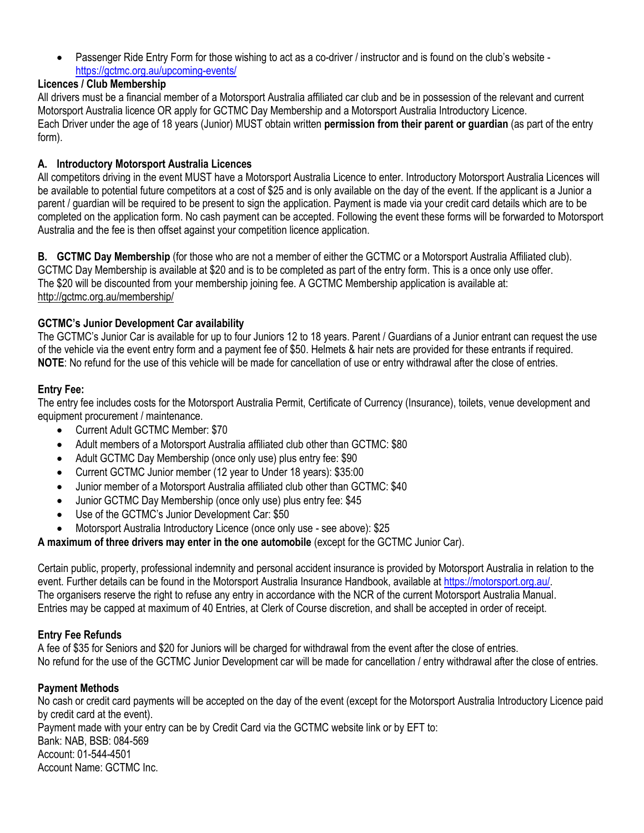• Passenger Ride Entry Form for those wishing to act as a co-driver / instructor and is found on the club's website <https://gctmc.org.au/upcoming-events/>

# **Licences / Club Membership**

All drivers must be a financial member of a Motorsport Australia affiliated car club and be in possession of the relevant and current Motorsport Australia licence OR apply for GCTMC Day Membership and a Motorsport Australia Introductory Licence. Each Driver under the age of 18 years (Junior) MUST obtain written **permission from their parent or guardian** (as part of the entry form).

# **A. Introductory Motorsport Australia Licences**

All competitors driving in the event MUST have a Motorsport Australia Licence to enter. Introductory Motorsport Australia Licences will be available to potential future competitors at a cost of \$25 and is only available on the day of the event. If the applicant is a Junior a parent / guardian will be required to be present to sign the application. Payment is made via your credit card details which are to be completed on the application form. No cash payment can be accepted. Following the event these forms will be forwarded to Motorsport Australia and the fee is then offset against your competition licence application.

**B. GCTMC Day Membership** (for those who are not a member of either the GCTMC or a Motorsport Australia Affiliated club). GCTMC Day Membership is available at \$20 and is to be completed as part of the entry form. This is a once only use offer. The \$20 will be discounted from your membership joining fee. A GCTMC Membership application is available at: <http://gctmc.org.au/membership/>

# **GCTMC's Junior Development Car availability**

The GCTMC's Junior Car is available for up to four Juniors 12 to 18 years. Parent / Guardians of a Junior entrant can request the use of the vehicle via the event entry form and a payment fee of \$50. Helmets & hair nets are provided for these entrants if required. **NOTE**: No refund for the use of this vehicle will be made for cancellation of use or entry withdrawal after the close of entries.

# **Entry Fee:**

The entry fee includes costs for the Motorsport Australia Permit, Certificate of Currency (Insurance), toilets, venue development and equipment procurement / maintenance.

- Current Adult GCTMC Member: \$70
- Adult members of a Motorsport Australia affiliated club other than GCTMC: \$80
- Adult GCTMC Day Membership (once only use) plus entry fee: \$90
- Current GCTMC Junior member (12 year to Under 18 years): \$35:00
- Junior member of a Motorsport Australia affiliated club other than GCTMC: \$40
- Junior GCTMC Day Membership (once only use) plus entry fee: \$45
- Use of the GCTMC's Junior Development Car: \$50
- Motorsport Australia Introductory Licence (once only use see above): \$25

**A maximum of three drivers may enter in the one automobile** (except for the GCTMC Junior Car).

Certain public, property, professional indemnity and personal accident insurance is provided by Motorsport Australia in relation to the event. Further details can be found in the Motorsport Australia Insurance Handbook, available at [https://motorsport.org.au/.](https://motorsport.org.au/) The organisers reserve the right to refuse any entry in accordance with the NCR of the current Motorsport Australia Manual. Entries may be capped at maximum of 40 Entries, at Clerk of Course discretion, and shall be accepted in order of receipt.

# **Entry Fee Refunds**

A fee of \$35 for Seniors and \$20 for Juniors will be charged for withdrawal from the event after the close of entries. No refund for the use of the GCTMC Junior Development car will be made for cancellation / entry withdrawal after the close of entries.

# **Payment Methods**

No cash or credit card payments will be accepted on the day of the event (except for the Motorsport Australia Introductory Licence paid by credit card at the event). Payment made with your entry can be by Credit Card via the GCTMC website link or by EFT to: Bank: NAB, BSB: 084-569 Account: 01-544-4501 Account Name: GCTMC Inc.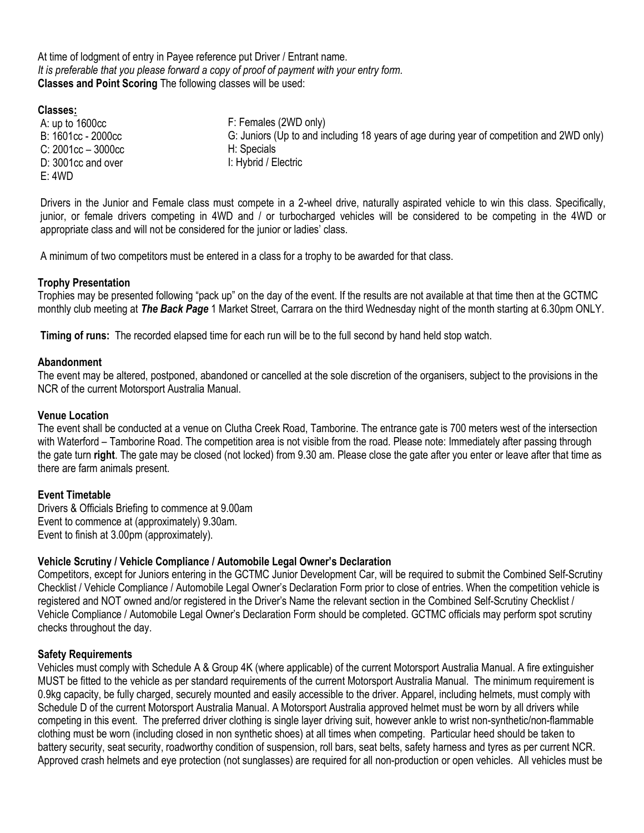At time of lodgment of entry in Payee reference put Driver / Entrant name. *It is preferable that you please forward a copy of proof of payment with your entry form.* **Classes and Point Scoring** The following classes will be used:

#### **Classes:**

A: up to 1600cc B: 1601cc - 2000cc C: 2001cc – 3000cc D: 3001cc and over E: 4WD

F: Females (2WD only) G: Juniors (Up to and including 18 years of age during year of competition and 2WD only) H: Specials I: Hybrid / Electric

Drivers in the Junior and Female class must compete in a 2-wheel drive, naturally aspirated vehicle to win this class. Specifically, junior, or female drivers competing in 4WD and / or turbocharged vehicles will be considered to be competing in the 4WD or appropriate class and will not be considered for the junior or ladies' class.

A minimum of two competitors must be entered in a class for a trophy to be awarded for that class.

# **Trophy Presentation**

Trophies may be presented following "pack up" on the day of the event. If the results are not available at that time then at the GCTMC monthly club meeting at *The Back Page* 1 Market Street, Carrara on the third Wednesday night of the month starting at 6.30pm ONLY.

**Timing of runs:** The recorded elapsed time for each run will be to the full second by hand held stop watch.

#### **Abandonment**

The event may be altered, postponed, abandoned or cancelled at the sole discretion of the organisers, subject to the provisions in the NCR of the current Motorsport Australia Manual.

#### **Venue Location**

The event shall be conducted at a venue on Clutha Creek Road, Tamborine. The entrance gate is 700 meters west of the intersection with Waterford – Tamborine Road. The competition area is not visible from the road. Please note: Immediately after passing through the gate turn **right**. The gate may be closed (not locked) from 9.30 am. Please close the gate after you enter or leave after that time as there are farm animals present.

# **Event Timetable**

Drivers & Officials Briefing to commence at 9.00am Event to commence at (approximately) 9.30am. Event to finish at 3.00pm (approximately).

# **Vehicle Scrutiny / Vehicle Compliance / Automobile Legal Owner's Declaration**

Competitors, except for Juniors entering in the GCTMC Junior Development Car, will be required to submit the Combined Self-Scrutiny Checklist / Vehicle Compliance / Automobile Legal Owner's Declaration Form prior to close of entries. When the competition vehicle is registered and NOT owned and/or registered in the Driver's Name the relevant section in the Combined Self-Scrutiny Checklist / Vehicle Compliance / Automobile Legal Owner's Declaration Form should be completed. GCTMC officials may perform spot scrutiny checks throughout the day.

#### **Safety Requirements**

Vehicles must comply with Schedule A & Group 4K (where applicable) of the current Motorsport Australia Manual. A fire extinguisher MUST be fitted to the vehicle as per standard requirements of the current Motorsport Australia Manual. The minimum requirement is 0.9kg capacity, be fully charged, securely mounted and easily accessible to the driver. Apparel, including helmets, must comply with Schedule D of the current Motorsport Australia Manual. A Motorsport Australia approved helmet must be worn by all drivers while competing in this event. The preferred driver clothing is single layer driving suit, however ankle to wrist non-synthetic/non-flammable clothing must be worn (including closed in non synthetic shoes) at all times when competing. Particular heed should be taken to battery security, seat security, roadworthy condition of suspension, roll bars, seat belts, safety harness and tyres as per current NCR. Approved crash helmets and eye protection (not sunglasses) are required for all non-production or open vehicles. All vehicles must be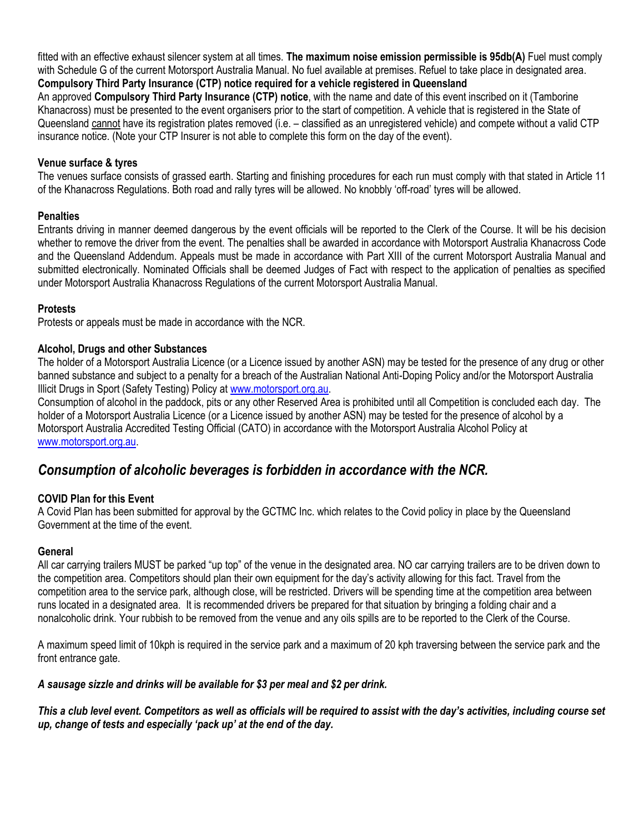fitted with an effective exhaust silencer system at all times. **The maximum noise emission permissible is 95db(A)** Fuel must comply with Schedule G of the current Motorsport Australia Manual. No fuel available at premises. Refuel to take place in designated area. **Compulsory Third Party Insurance (CTP) notice required for a vehicle registered in Queensland**

An approved **Compulsory Third Party Insurance (CTP) notice**, with the name and date of this event inscribed on it (Tamborine Khanacross) must be presented to the event organisers prior to the start of competition. A vehicle that is registered in the State of Queensland cannot have its registration plates removed (i.e. – classified as an unregistered vehicle) and compete without a valid CTP insurance notice. (Note your CTP Insurer is not able to complete this form on the day of the event).

# **Venue surface & tyres**

The venues surface consists of grassed earth. Starting and finishing procedures for each run must comply with that stated in Article 11 of the Khanacross Regulations. Both road and rally tyres will be allowed. No knobbly 'off-road' tyres will be allowed.

# **Penalties**

Entrants driving in manner deemed dangerous by the event officials will be reported to the Clerk of the Course. It will be his decision whether to remove the driver from the event. The penalties shall be awarded in accordance with Motorsport Australia Khanacross Code and the Queensland Addendum. Appeals must be made in accordance with Part XIII of the current Motorsport Australia Manual and submitted electronically. Nominated Officials shall be deemed Judges of Fact with respect to the application of penalties as specified under Motorsport Australia Khanacross Regulations of the current Motorsport Australia Manual.

# **Protests**

Protests or appeals must be made in accordance with the NCR.

# **Alcohol, Drugs and other Substances**

The holder of a Motorsport Australia Licence (or a Licence issued by another ASN) may be tested for the presence of any drug or other banned substance and subject to a penalty for a breach of the Australian National Anti-Doping Policy and/or the Motorsport Australia Illicit Drugs in Sport (Safety Testing) Policy at [www.motorsport.org.au.](http://www.motorsport.org.au/)

Consumption of alcohol in the paddock, pits or any other Reserved Area is prohibited until all Competition is concluded each day. The holder of a Motorsport Australia Licence (or a Licence issued by another ASN) may be tested for the presence of alcohol by a Motorsport Australia Accredited Testing Official (CATO) in accordance with the Motorsport Australia Alcohol Policy at [www.motorsport.org.au.](http://www.motorsport.org.au/)

# *Consumption of alcoholic beverages is forbidden in accordance with the NCR.*

# **COVID Plan for this Event**

A Covid Plan has been submitted for approval by the GCTMC Inc. which relates to the Covid policy in place by the Queensland Government at the time of the event.

# **General**

All car carrying trailers MUST be parked "up top" of the venue in the designated area. NO car carrying trailers are to be driven down to the competition area. Competitors should plan their own equipment for the day's activity allowing for this fact. Travel from the competition area to the service park, although close, will be restricted. Drivers will be spending time at the competition area between runs located in a designated area. It is recommended drivers be prepared for that situation by bringing a folding chair and a nonalcoholic drink. Your rubbish to be removed from the venue and any oils spills are to be reported to the Clerk of the Course.

A maximum speed limit of 10kph is required in the service park and a maximum of 20 kph traversing between the service park and the front entrance gate.

# *A sausage sizzle and drinks will be available for \$3 per meal and \$2 per drink.*

*This a club level event. Competitors as well as officials will be required to assist with the day's activities, including course set up, change of tests and especially 'pack up' at the end of the day.*